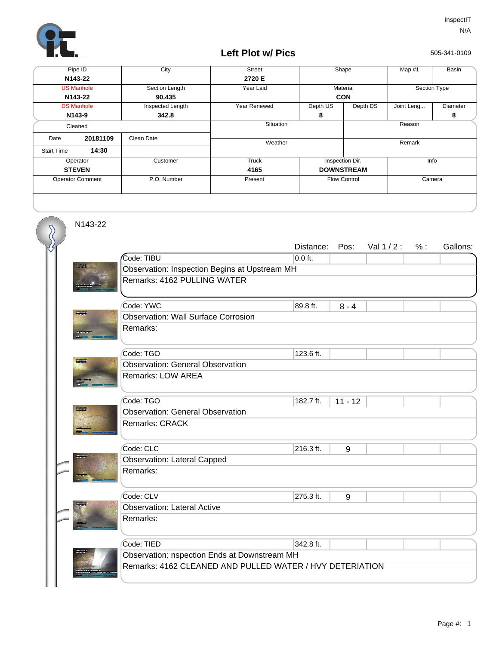

## **Left Plot w/ Pics**

505-341-0109

| Pipe ID                 |          | City             | <b>Street</b> | Shape               |          | Map #1       | Basin    |  |
|-------------------------|----------|------------------|---------------|---------------------|----------|--------------|----------|--|
| N143-22                 |          |                  | 2720 E        |                     |          |              |          |  |
| <b>US Manhole</b>       |          | Section Length   | Year Laid     | Material            |          | Section Type |          |  |
| N143-22                 |          | 90.435           |               | <b>CON</b>          |          |              |          |  |
| <b>DS Manhole</b>       |          | Inspected Length | Year Renewed  | Depth US            | Depth DS | Joint Leng   | Diameter |  |
| N143-9                  |          | 342.8            |               | 8                   |          |              | 8        |  |
| Cleaned                 |          |                  | Situation     |                     |          | Reason       |          |  |
| Date                    | 20181109 | Clean Date       |               |                     |          |              |          |  |
| <b>Start Time</b>       | 14:30    |                  |               | Weather             |          | Remark       |          |  |
|                         |          |                  |               |                     |          |              |          |  |
| Operator                |          | Customer         | Truck         | Inspection Dir.     |          | Info         |          |  |
| <b>STEVEN</b>           |          |                  | 4165          | <b>DOWNSTREAM</b>   |          |              |          |  |
| <b>Operator Comment</b> |          | P.O. Number      | Present       | <b>Flow Control</b> |          | Camera       |          |  |
|                         |          |                  |               |                     |          |              |          |  |

N143-22

 $\overline{\mathcal{S}}$ 

|                  |                                                          | Distance: | Pos:      | Val $1/2$ : | % : | Gallons: |  |  |  |
|------------------|----------------------------------------------------------|-----------|-----------|-------------|-----|----------|--|--|--|
|                  | Code: TIBU                                               | $0.0$ ft. |           |             |     |          |  |  |  |
|                  | Observation: Inspection Begins at Upstream MH            |           |           |             |     |          |  |  |  |
|                  | Remarks: 4162 PULLING WATER                              |           |           |             |     |          |  |  |  |
|                  |                                                          |           |           |             |     |          |  |  |  |
| <b>ROBERT</b>    | Code: YWC                                                | 89.8 ft.  | $8 - 4$   |             |     |          |  |  |  |
|                  | <b>Observation: Wall Surface Corrosion</b>               |           |           |             |     |          |  |  |  |
|                  | Remarks:                                                 |           |           |             |     |          |  |  |  |
|                  |                                                          |           |           |             |     |          |  |  |  |
|                  | Code: TGO                                                | 123.6 ft. |           |             |     |          |  |  |  |
| <b>Biography</b> | <b>Observation: General Observation</b>                  |           |           |             |     |          |  |  |  |
|                  | <b>Remarks: LOW AREA</b>                                 |           |           |             |     |          |  |  |  |
|                  |                                                          |           |           |             |     |          |  |  |  |
|                  | Code: TGO                                                | 182.7 ft. | $11 - 12$ |             |     |          |  |  |  |
|                  | <b>Observation: General Observation</b>                  |           |           |             |     |          |  |  |  |
|                  | Remarks: CRACK                                           |           |           |             |     |          |  |  |  |
|                  |                                                          |           |           |             |     |          |  |  |  |
|                  | Code: CLC                                                | 216.3 ft. | 9         |             |     |          |  |  |  |
|                  | <b>Observation: Lateral Capped</b>                       |           |           |             |     |          |  |  |  |
|                  | Remarks:                                                 |           |           |             |     |          |  |  |  |
|                  |                                                          |           |           |             |     |          |  |  |  |
|                  | Code: CLV                                                | 275.3 ft. | 9         |             |     |          |  |  |  |
|                  | <b>Observation: Lateral Active</b>                       |           |           |             |     |          |  |  |  |
|                  | Remarks:                                                 |           |           |             |     |          |  |  |  |
|                  |                                                          |           |           |             |     |          |  |  |  |
|                  | Code: TIED                                               | 342.8 ft. |           |             |     |          |  |  |  |
|                  | Observation: nspection Ends at Downstream MH             |           |           |             |     |          |  |  |  |
|                  | Remarks: 4162 CLEANED AND PULLED WATER / HVY DETERIATION |           |           |             |     |          |  |  |  |
|                  |                                                          |           |           |             |     |          |  |  |  |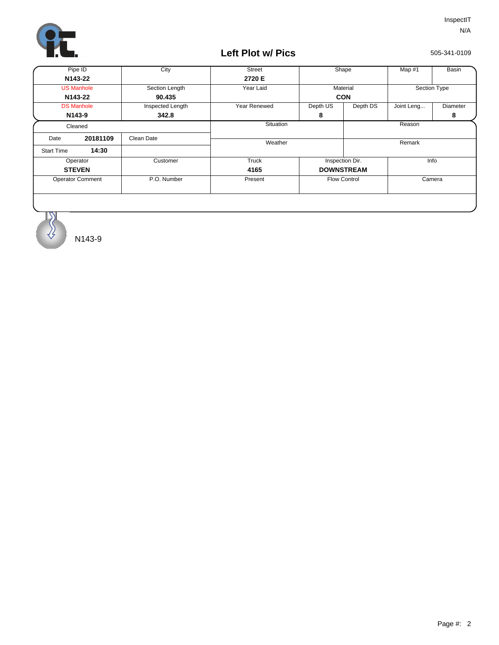

## **Left Plot w/ Pics**

505-341-0109

| Pipe ID                 |                      | City             | Street              | Shape               |                        | Map #1       | <b>Basin</b> |
|-------------------------|----------------------|------------------|---------------------|---------------------|------------------------|--------------|--------------|
| N143-22                 |                      |                  | 2720 E              |                     |                        |              |              |
| <b>US Manhole</b>       |                      | Section Length   | Year Laid           | Material            |                        | Section Type |              |
| N143-22                 |                      | 90.435           |                     | <b>CON</b>          |                        |              |              |
|                         | <b>DS Manhole</b>    | Inspected Length | <b>Year Renewed</b> | Depth US            | Depth DS<br>Joint Leng |              | Diameter     |
| N <sub>143-9</sub>      |                      | 342.8            |                     | 8                   |                        |              | 8            |
|                         | Situation<br>Cleaned |                  |                     | Reason              |                        |              |              |
| Date                    | 20181109             | Clean Date       |                     |                     |                        |              |              |
| <b>Start Time</b>       | 14:30                |                  | Weather             |                     |                        | Remark       |              |
| Operator                |                      | Customer         | Truck               | Inspection Dir.     |                        | Info         |              |
| <b>STEVEN</b>           |                      |                  | 4165                | <b>DOWNSTREAM</b>   |                        |              |              |
| <b>Operator Comment</b> |                      | P.O. Number      | Present             | <b>Flow Control</b> |                        | Camera       |              |
|                         |                      |                  |                     |                     |                        |              |              |

N143-9

 $\overline{\mathcal{X}}$ ₹